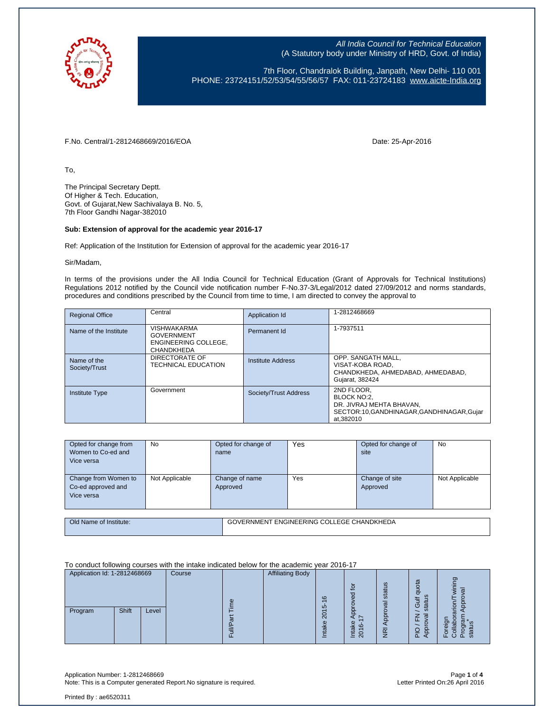

7th Floor, Chandralok Building, Janpath, New Delhi- 110 001 PHONE: 23724151/52/53/54/55/56/57 FAX: 011-23724183 www.aicte-India.org

F.No. Central/1-2812468669/2016/EOA Date: 25-Apr-2016

To,

The Principal Secretary Deptt. Of Higher & Tech. Education, Govt. of Gujarat,New Sachivalaya B. No. 5, 7th Floor Gandhi Nagar-382010

#### **Sub: Extension of approval for the academic year 2016-17**

Ref: Application of the Institution for Extension of approval for the academic year 2016-17

Sir/Madam,

In terms of the provisions under the All India Council for Technical Education (Grant of Approvals for Technical Institutions) Regulations 2012 notified by the Council vide notification number F-No.37-3/Legal/2012 dated 27/09/2012 and norms standards, procedures and conditions prescribed by the Council from time to time, I am directed to convey the approval to

| <b>Regional Office</b>       | Central                                                                              | Application Id        | 1-2812468669                                                                                                  |
|------------------------------|--------------------------------------------------------------------------------------|-----------------------|---------------------------------------------------------------------------------------------------------------|
| Name of the Institute        | <b>VISHWAKARMA</b><br><b>GOVERNMENT</b><br>ENGINEERING COLLEGE.<br><b>CHANDKHEDA</b> | Permanent Id          | 1-7937511                                                                                                     |
| Name of the<br>Society/Trust | DIRECTORATE OF<br><b>TECHNICAL EDUCATION</b>                                         | Institute Address     | OPP. SANGATH MALL,<br>VISAT-KOBA ROAD.<br>CHANDKHEDA, AHMEDABAD, AHMEDABAD,<br>Gujarat, 382424                |
| <b>Institute Type</b>        | Government                                                                           | Society/Trust Address | 2ND FLOOR,<br>BLOCK NO:2.<br>DR. JIVRAJ MEHTA BHAVAN.<br>SECTOR:10,GANDHINAGAR,GANDHINAGAR,Gujar<br>at.382010 |

| Opted for change from<br>Women to Co-ed and<br>Vice versa | No             | Opted for change of<br>name | Yes                                       | Opted for change of<br>site | <b>No</b>      |
|-----------------------------------------------------------|----------------|-----------------------------|-------------------------------------------|-----------------------------|----------------|
| Change from Women to<br>Co-ed approved and<br>Vice versa  | Not Applicable | Change of name<br>Approved  | Yes                                       | Change of site<br>Approved  | Not Applicable |
|                                                           |                |                             |                                           |                             |                |
| Old Name of Institute:                                    |                |                             | GOVERNMENT ENGINEERING COLLEGE CHANDKHEDA |                             |                |

To conduct following courses with the intake indicated below for the academic year 2016-17

| Application Id: 1-2812468669 | Course |     | <b>Affiliating Body</b> |                          |                                                          |                     |                                                                                               |                   |
|------------------------------|--------|-----|-------------------------|--------------------------|----------------------------------------------------------|---------------------|-----------------------------------------------------------------------------------------------|-------------------|
| Shift<br>Program             | Level  | CD. |                         | $\circ$<br>ഥ<br>႙<br>त्त | $\Omega$<br>ਠ<br>Φ<br>Φ<br>ဖ<br>ᢛ<br>$\overline{ }$<br>Я | ဖ<br>stat<br>σ<br>8 | π<br>ğ<br>ᇂ<br>$\overline{\omega}$<br>₹<br>ග<br>$\overline{\omega}$<br>ັທ<br>σ<br>∼<br>ш<br>0 | פַ<br>ത<br>O<br>o |
|                              |        |     |                         |                          | $\overline{20}$<br>≐                                     | $\overline{R}$      | <u>π</u>                                                                                      | eta<br>ŒΖ<br>௨    |

Application Number: 1-2812468669 Page **1** of **4** Note: This is a Computer generated Report. No signature is required.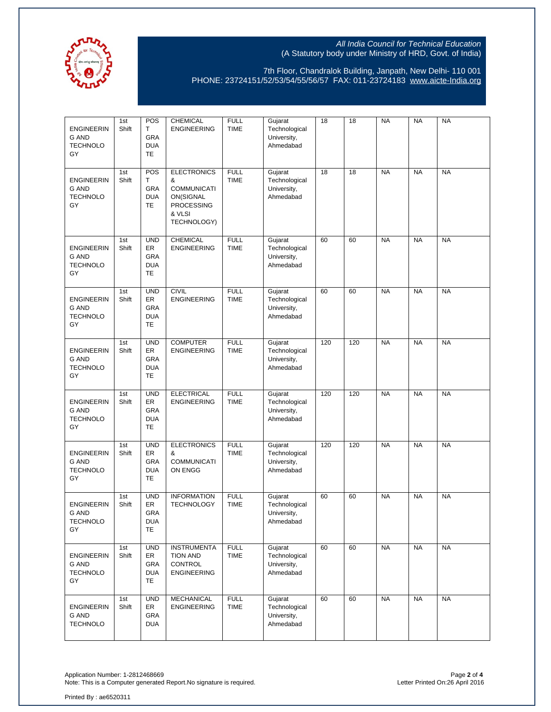

7th Floor, Chandralok Building, Janpath, New Delhi- 110 001 PHONE: 23724151/52/53/54/55/56/57 FAX: 011-23724183 www.aicte-India.org

| <b>ENGINEERIN</b><br><b>G AND</b><br><b>TECHNOLO</b><br>GY | 1st<br>Shift | POS<br>T.<br>GRA<br><b>DUA</b><br><b>TE</b>        | CHEMICAL<br><b>ENGINEERING</b>                                                                           | <b>FULL</b><br>TIME        | Gujarat<br>Technological<br>University,<br>Ahmedabad | 18  | 18  | <b>NA</b> | <b>NA</b> | <b>NA</b> |
|------------------------------------------------------------|--------------|----------------------------------------------------|----------------------------------------------------------------------------------------------------------|----------------------------|------------------------------------------------------|-----|-----|-----------|-----------|-----------|
| <b>ENGINEERIN</b><br>G AND<br><b>TECHNOLO</b><br>GY        | 1st<br>Shift | <b>POS</b><br>т<br>GRA<br><b>DUA</b><br><b>TE</b>  | <b>ELECTRONICS</b><br>&<br><b>COMMUNICATI</b><br>ON(SIGNAL<br><b>PROCESSING</b><br>& VLSI<br>TECHNOLOGY) | <b>FULL</b><br><b>TIME</b> | Gujarat<br>Technological<br>University,<br>Ahmedabad | 18  | 18  | <b>NA</b> | <b>NA</b> | <b>NA</b> |
| <b>ENGINEERIN</b><br><b>G AND</b><br><b>TECHNOLO</b><br>GY | 1st<br>Shift | <b>UND</b><br>ER<br>GRA<br><b>DUA</b><br>TE        | <b>CHEMICAL</b><br><b>ENGINEERING</b>                                                                    | <b>FULL</b><br><b>TIME</b> | Gujarat<br>Technological<br>University,<br>Ahmedabad | 60  | 60  | <b>NA</b> | <b>NA</b> | <b>NA</b> |
| <b>ENGINEERIN</b><br><b>G AND</b><br><b>TECHNOLO</b><br>GY | 1st<br>Shift | <b>UND</b><br>ER<br><b>GRA</b><br><b>DUA</b><br>TE | <b>CIVIL</b><br><b>ENGINEERING</b>                                                                       | <b>FULL</b><br><b>TIME</b> | Gujarat<br>Technological<br>University,<br>Ahmedabad | 60  | 60  | <b>NA</b> | <b>NA</b> | <b>NA</b> |
| <b>ENGINEERIN</b><br><b>G AND</b><br><b>TECHNOLO</b><br>GY | 1st<br>Shift | <b>UND</b><br>ER<br>GRA<br><b>DUA</b><br>TE        | <b>COMPUTER</b><br><b>ENGINEERING</b>                                                                    | <b>FULL</b><br><b>TIME</b> | Gujarat<br>Technological<br>University,<br>Ahmedabad | 120 | 120 | <b>NA</b> | <b>NA</b> | <b>NA</b> |
| <b>ENGINEERIN</b><br><b>G AND</b><br><b>TECHNOLO</b><br>GY | 1st<br>Shift | <b>UND</b><br>ER<br><b>GRA</b><br><b>DUA</b><br>TE | <b>ELECTRICAL</b><br><b>ENGINEERING</b>                                                                  | <b>FULL</b><br><b>TIME</b> | Gujarat<br>Technological<br>University,<br>Ahmedabad | 120 | 120 | <b>NA</b> | <b>NA</b> | <b>NA</b> |
| <b>ENGINEERIN</b><br><b>G AND</b><br><b>TECHNOLO</b><br>GY | 1st<br>Shift | <b>UND</b><br>ER<br><b>GRA</b><br><b>DUA</b><br>TE | <b>ELECTRONICS</b><br>&<br><b>COMMUNICATI</b><br>ON ENGG                                                 | <b>FULL</b><br><b>TIME</b> | Gujarat<br>Technological<br>University,<br>Ahmedabad | 120 | 120 | <b>NA</b> | <b>NA</b> | <b>NA</b> |
| <b>ENGINEERIN</b><br><b>G AND</b><br><b>TECHNOLO</b><br>GY | 1st<br>Shift | <b>UND</b><br>ER<br>GRA<br><b>DUA</b><br><b>TE</b> | <b>INFORMATION</b><br><b>TECHNOLOGY</b>                                                                  | <b>FULL</b><br><b>TIME</b> | Gujarat<br>Technological<br>University,<br>Ahmedabad | 60  | 60  | <b>NA</b> | <b>NA</b> | <b>NA</b> |
| <b>ENGINEERIN</b><br>G AND<br><b>TECHNOLO</b><br>GY        | 1st<br>Shift | <b>UND</b><br>ER<br>GRA<br><b>DUA</b><br>TE        | <b>INSTRUMENTA</b><br><b>TION AND</b><br>CONTROL<br><b>ENGINEERING</b>                                   | <b>FULL</b><br><b>TIME</b> | Gujarat<br>Technological<br>University,<br>Ahmedabad | 60  | 60  | <b>NA</b> | <b>NA</b> | <b>NA</b> |
| <b>ENGINEERIN</b><br>G AND<br><b>TECHNOLO</b>              | 1st<br>Shift | <b>UND</b><br>ER<br>GRA<br><b>DUA</b>              | <b>MECHANICAL</b><br><b>ENGINEERING</b>                                                                  | <b>FULL</b><br><b>TIME</b> | Gujarat<br>Technological<br>University,<br>Ahmedabad | 60  | 60  | <b>NA</b> | <b>NA</b> | <b>NA</b> |

Application Number: 1-2812468669 Page **2** of **4** Note: This is a Computer generated Report.No signature is required. Letter Printed On:26 April 2016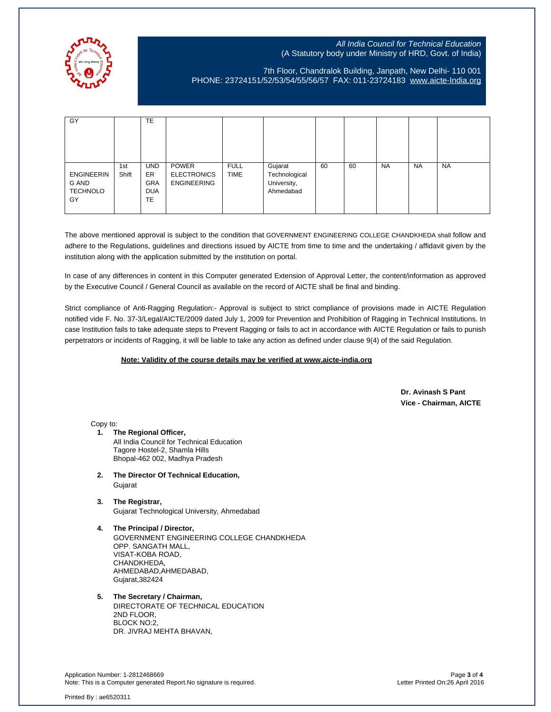

7th Floor, Chandralok Building, Janpath, New Delhi- 110 001 PHONE: 23724151/52/53/54/55/56/57 FAX: 011-23724183 www.aicte-India.org

| GY                                                  |              | <b>TE</b>                                                  |                                                   |                            |                                                      |    |    |           |           |           |
|-----------------------------------------------------|--------------|------------------------------------------------------------|---------------------------------------------------|----------------------------|------------------------------------------------------|----|----|-----------|-----------|-----------|
| <b>ENGINEERIN</b><br>G AND<br><b>TECHNOLO</b><br>GY | 1st<br>Shift | <b>UND</b><br>ER.<br><b>GRA</b><br><b>DUA</b><br><b>TE</b> | POWER<br><b>ELECTRONICS</b><br><b>ENGINEERING</b> | <b>FULL</b><br><b>TIME</b> | Gujarat<br>Technological<br>University,<br>Ahmedabad | 60 | 60 | <b>NA</b> | <b>NA</b> | <b>NA</b> |

The above mentioned approval is subject to the condition that GOVERNMENT ENGINEERING COLLEGE CHANDKHEDA shall follow and adhere to the Regulations, guidelines and directions issued by AICTE from time to time and the undertaking / affidavit given by the institution along with the application submitted by the institution on portal.

In case of any differences in content in this Computer generated Extension of Approval Letter, the content/information as approved by the Executive Council / General Council as available on the record of AICTE shall be final and binding.

Strict compliance of Anti-Ragging Regulation:- Approval is subject to strict compliance of provisions made in AICTE Regulation notified vide F. No. 37-3/Legal/AICTE/2009 dated July 1, 2009 for Prevention and Prohibition of Ragging in Technical Institutions. In case Institution fails to take adequate steps to Prevent Ragging or fails to act in accordance with AICTE Regulation or fails to punish perpetrators or incidents of Ragging, it will be liable to take any action as defined under clause 9(4) of the said Regulation.

### **Note: Validity of the course details may be verified at www.aicte-india.org**

 **Dr. Avinash S Pant Vice - Chairman, AICTE**

Copy to:

- **1. The Regional Officer,** All India Council for Technical Education Tagore Hostel-2, Shamla Hills Bhopal-462 002, Madhya Pradesh
- **2. The Director Of Technical Education,** Gujarat
- **3. The Registrar,** Gujarat Technological University, Ahmedabad
- **4. The Principal / Director,** GOVERNMENT ENGINEERING COLLEGE CHANDKHEDA OPP. SANGATH MALL, VISAT-KOBA ROAD, CHANDKHEDA, AHMEDABAD,AHMEDABAD, Gujarat,382424
- **5. The Secretary / Chairman,** DIRECTORATE OF TECHNICAL EDUCATION 2ND FLOOR, BLOCK NO:2, DR. JIVRAJ MEHTA BHAVAN,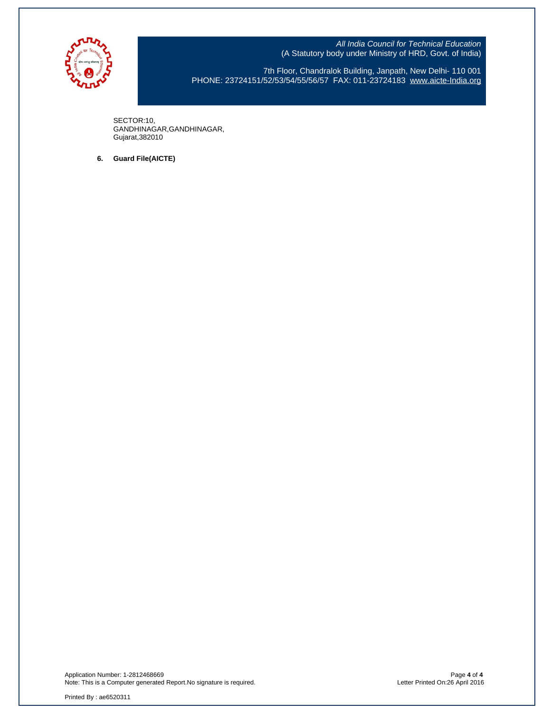

7th Floor, Chandralok Building, Janpath, New Delhi- 110 001 PHONE: 23724151/52/53/54/55/56/57 FAX: 011-23724183 www.aicte-India.org

SECTOR:10, GANDHINAGAR,GANDHINAGAR, Gujarat,382010

**6. Guard File(AICTE)**

Application Number: 1-2812468669 Page **4** of **4** Note: This is a Computer generated Report.No signature is required. Letter Printed On:26 April 2016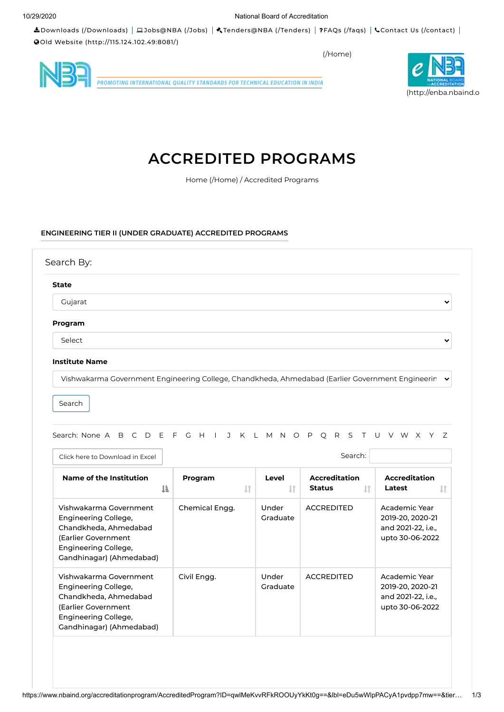Downloads (/Downloads) Jobs@NBA (/Jobs) Tenders@NBA (/Tenders) FAQs (/faqs) Contact Us (/contact) Old Website (http://115.124.102.49:8081/)

(/Home)



**PROMOTING INTERNATIONAL QUALITY STANDARDS FOR TECHNICAL EDUCATION IN INDIA** 



# **ACCREDITED PROGRAMS**

Home (/Home) / Accredited Programs

## **ENGINEERING TIER II (UNDER GRADUATE) ACCREDITED PROGRAMS**

| <b>State</b> |  |
|--------------|--|
| Gujarat      |  |
| Program      |  |
| Select       |  |

Vishwakarma Government Engineering College, Chandkheda, Ahmedabad (Earlier Government Engineerin

Search

Search: None A B C D E F G H I J K L M N O P Q R S T U V W X Y Z

| Click here to Download in Excel                                                                                                                    |                         |                       | Search:                                     |                                                                            |
|----------------------------------------------------------------------------------------------------------------------------------------------------|-------------------------|-----------------------|---------------------------------------------|----------------------------------------------------------------------------|
| Name of the Institution<br>1F                                                                                                                      | Program<br>$\downarrow$ | Level<br>$\mathbf{1}$ | <b>Accreditation</b><br><b>Status</b><br>1t | <b>Accreditation</b><br>Latest                                             |
| Vishwakarma Government<br>Engineering College,<br>Chandkheda, Ahmedabad<br>(Earlier Government<br>Engineering College,<br>Gandhinagar) (Ahmedabad) | Chemical Engg.          | Under<br>Graduate     | <b>ACCREDITED</b>                           | Academic Year<br>2019-20, 2020-21<br>and 2021-22, i.e.,<br>upto 30-06-2022 |
| Vishwakarma Government<br>Engineering College,<br>Chandkheda, Ahmedabad<br>(Earlier Government<br>Engineering College,<br>Gandhinagar) (Ahmedabad) | Civil Engg.             | Under<br>Graduate     | <b>ACCREDITED</b>                           | Academic Year<br>2019-20, 2020-21<br>and 2021-22, i.e.,<br>upto 30-06-2022 |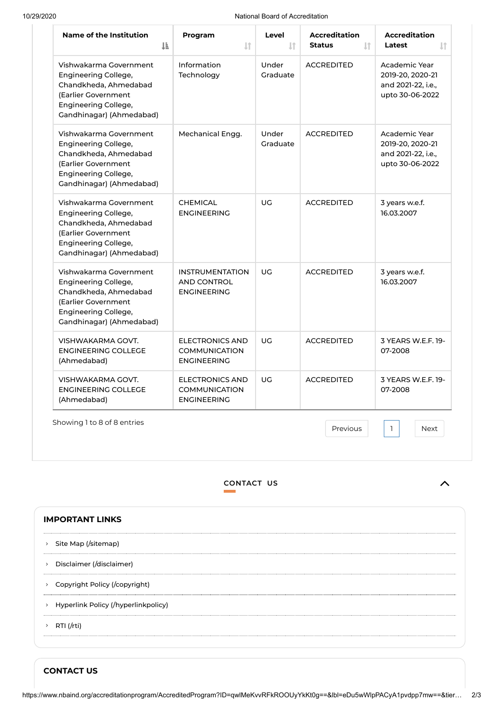## 10/29/2020 National Board of Accreditation

| Name of the Institution<br>1ì.                                                                                                                     | Program<br>$\downarrow$ î                                            | Level<br>$\mathbf{I}$ | <b>Accreditation</b><br><b>Status</b><br>$\downarrow$ î | <b>Accreditation</b><br>Latest<br>$\downarrow$ î                           |
|----------------------------------------------------------------------------------------------------------------------------------------------------|----------------------------------------------------------------------|-----------------------|---------------------------------------------------------|----------------------------------------------------------------------------|
| Vishwakarma Government<br>Engineering College,<br>Chandkheda, Ahmedabad<br>(Earlier Government<br>Engineering College,<br>Gandhinagar) (Ahmedabad) | Information<br>Technology                                            | Under<br>Graduate     | <b>ACCREDITED</b>                                       | Academic Year<br>2019-20, 2020-21<br>and 2021-22, i.e.,<br>upto 30-06-2022 |
| Vishwakarma Government<br>Engineering College,<br>Chandkheda, Ahmedabad<br>(Earlier Government<br>Engineering College,<br>Gandhinagar) (Ahmedabad) | Mechanical Engg.                                                     | Under<br>Graduate     | <b>ACCREDITED</b>                                       | Academic Year<br>2019-20, 2020-21<br>and 2021-22, i.e.,<br>upto 30-06-2022 |
| Vishwakarma Government<br>Engineering College,<br>Chandkheda, Ahmedabad<br>(Earlier Government<br>Engineering College,<br>Gandhinagar) (Ahmedabad) | <b>CHEMICAL</b><br><b>ENGINEERING</b>                                | UG                    | <b>ACCREDITED</b>                                       | 3 years w.e.f.<br>16.03.2007                                               |
| Vishwakarma Government<br>Engineering College,<br>Chandkheda, Ahmedabad<br>(Earlier Government<br>Engineering College,<br>Gandhinagar) (Ahmedabad) | <b>INSTRUMENTATION</b><br><b>AND CONTROL</b><br><b>ENGINEERING</b>   | UG                    | <b>ACCREDITED</b>                                       | 3 years w.e.f.<br>16.03.2007                                               |
| VISHWAKARMA GOVT.<br><b>ENGINEERING COLLEGE</b><br>(Ahmedabad)                                                                                     | <b>ELECTRONICS AND</b><br><b>COMMUNICATION</b><br><b>ENGINEERING</b> | UG                    | <b>ACCREDITED</b>                                       | 3 YEARS W.E.F. 19-<br>07-2008                                              |
| VISHWAKARMA GOVT.<br><b>ENGINEERING COLLEGE</b><br>(Ahmedabad)                                                                                     | <b>ELECTRONICS AND</b><br><b>COMMUNICATION</b><br><b>ENGINEERING</b> | UG                    | <b>ACCREDITED</b>                                       | 3 YEARS W.E.F. 19-<br>07-2008                                              |

Showing 1 to 8 of 8 entries

Previous 1 Next

1

# **CONTACT US**

|               | <b>IMPORTANT LINKS</b>                |
|---------------|---------------------------------------|
|               | > Site Map (/sitemap)                 |
| $\,$          | Disclaimer (/disclaimer)              |
| $\rightarrow$ | Copyright Policy (/copyright)         |
|               | > Hyperlink Policy (/hyperlinkpolicy) |
|               | > RTI (/rti)                          |
|               |                                       |

**CONTACT US**